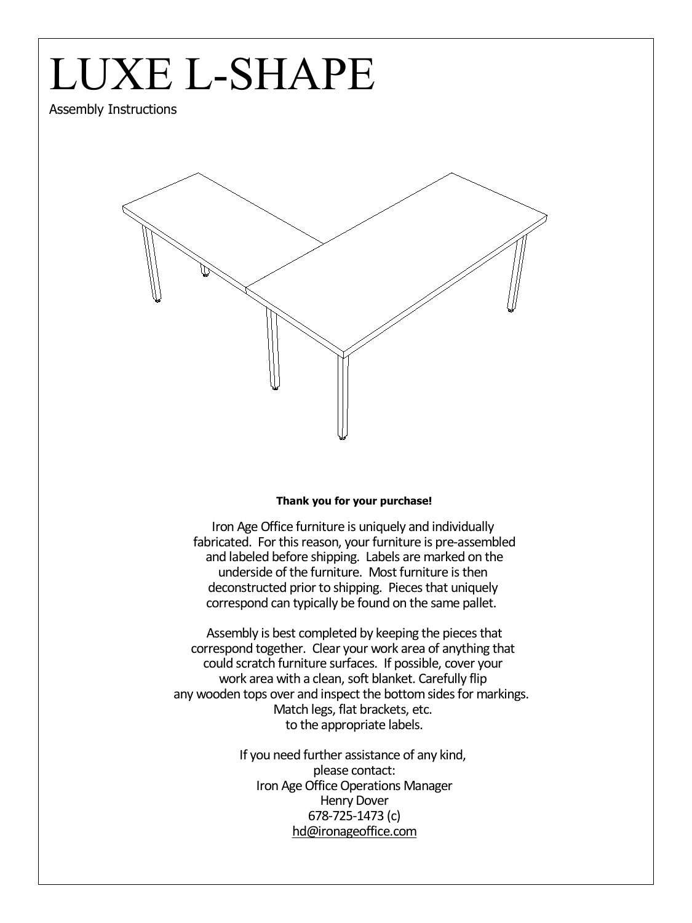### LUXE L-SHAPE

Assembly Instructions



#### **Thank you for your purchase!**

Iron Age Office furniture is uniquely and individually fabricated. For this reason, your furniture is pre-assembled and labeled before shipping. Labels are marked on the underside of the furniture. Most furniture is then deconstructed prior to shipping. Pieces that uniquely correspond can typically be found on the same pallet.

Assembly is best completed by keeping the pieces that correspond together. Clear your work area of anything that could scratch furniture surfaces. If possible, cover your work area with a clean, soft blanket. Carefully flip any wooden tops over and inspect the bottom sides for markings. Match legs, flat brackets, etc. to the appropriate labels.

> If you need further assistance of any kind, please contact: Iron Age Office Operations Manager Henry Dover 678-725-1473 (c) hd@ironageoffice.com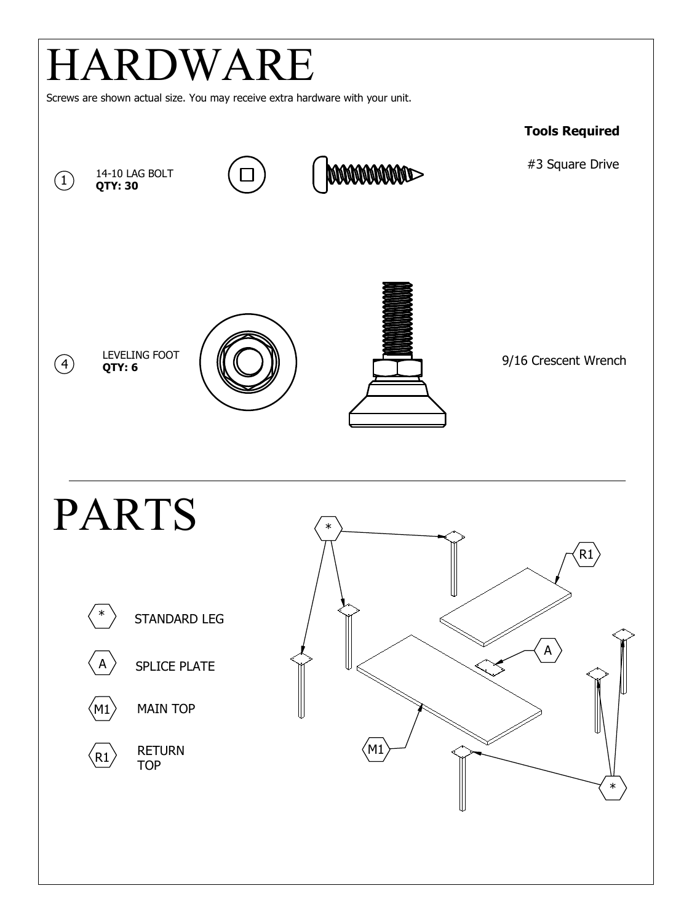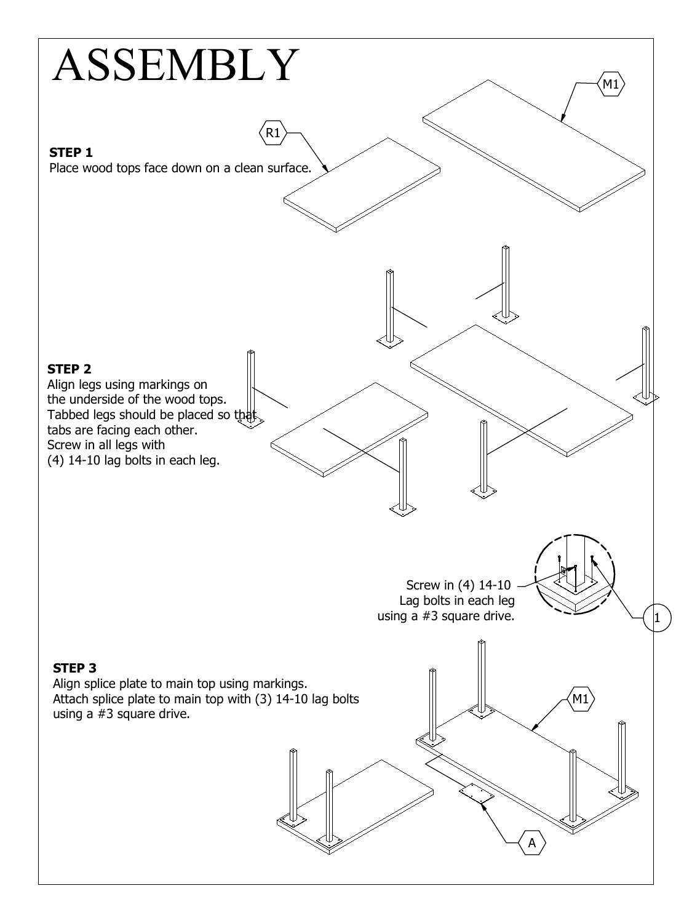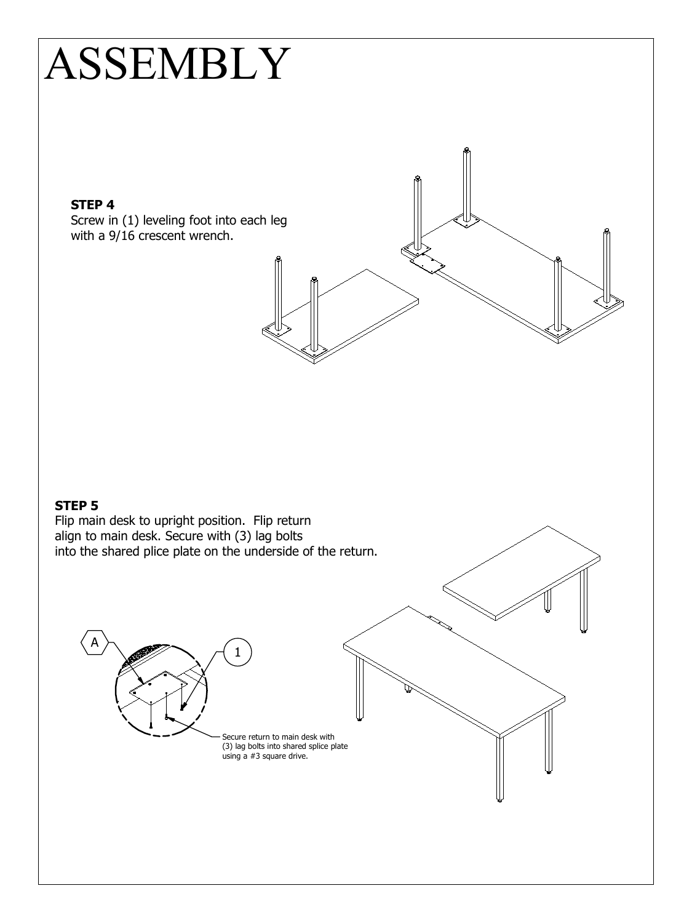## ASSEMBLY

### **STEP 4**

Screw in (1) leveling foot into each leg with <sup>a</sup> 9/16 crescent wrench.

**STEP 5** Flip main desk to upright position. Flip return align to main desk. Secure with (3) lag bolts into the shared plice plate on the underside of the return. Secure return to main desk with (3) lag bolts into shared splice plate using <sup>a</sup> #3 square drive. 1 A